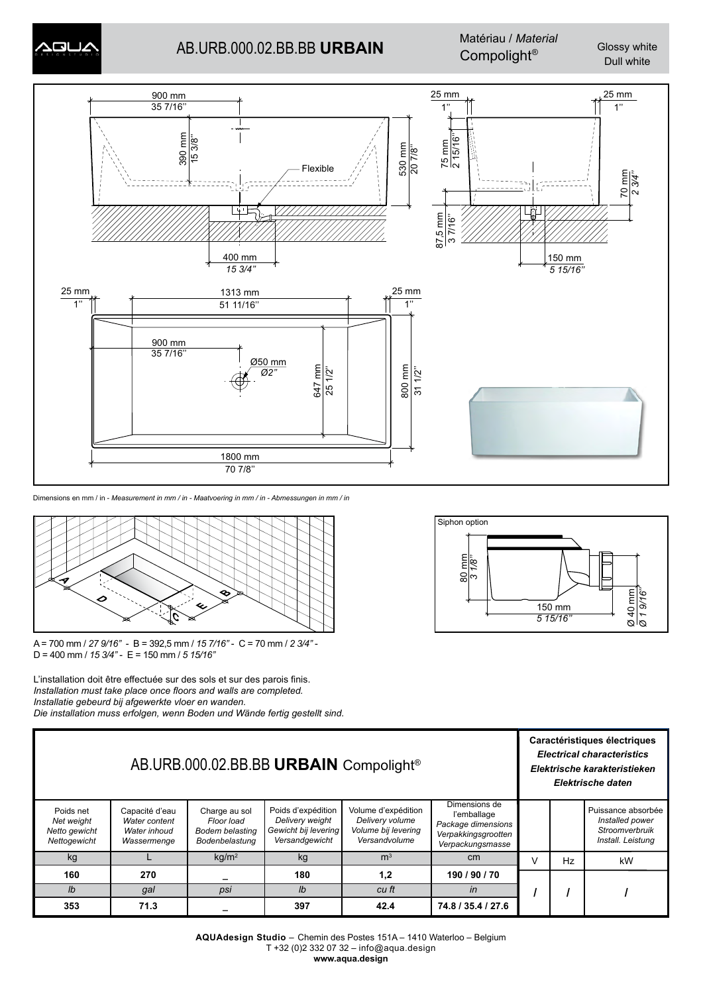# AB.URB.000.02.BB.BB **URBAIN** Compolight*®* Glossy white

 $\overline{2}$ D Matériau / *Material*

Dull white



Dimensions en mm / in - *Measurement in mm / in - Maatvoering in mm / in - Abmessungen in mm / in*



A = 700 mm / *27 9/16''* - B = 392,5 mm / *15 7/16''* - C = 70 mm / *2 3/4''* - D = 400 mm / *15 3/4''* - E = 150 mm / *5 15/16''*

L'installation doit être effectuée sur des sols et sur des parois finis. *Installation must take place once floors and walls are completed. Installatie gebeurd bij afgewerkte vloer en wanden. Die installation muss erfolgen, wenn Boden und Wände fertig gestellt sind.*



| AB.URB.000.02.BB.BB URBAIN Compolight <sup>®</sup>       |                                                                |                                                                  |                                                                                 |                                                                                |                                                                                               |  | Caractéristiques électriques<br><b>Electrical characteristics</b><br>Elektrische karakteristieken<br>Elektrische daten |                                                                              |  |
|----------------------------------------------------------|----------------------------------------------------------------|------------------------------------------------------------------|---------------------------------------------------------------------------------|--------------------------------------------------------------------------------|-----------------------------------------------------------------------------------------------|--|------------------------------------------------------------------------------------------------------------------------|------------------------------------------------------------------------------|--|
| Poids net<br>Net weight<br>Netto gewicht<br>Nettogewicht | Capacité d'eau<br>Water content<br>Water inhoud<br>Wassermenge | Charge au sol<br>Floor load<br>Bodem belasting<br>Bodenbelastung | Poids d'expédition<br>Delivery weight<br>Gewicht bij levering<br>Versandgewicht | Volume d'expédition<br>Delivery volume<br>Volume bij levering<br>Versandvolume | Dimensions de<br>l'emballage<br>Package dimensions<br>Verpakkingsgrootten<br>Verpackungsmasse |  |                                                                                                                        | Puissance absorbée<br>Installed power<br>Stroomverbruik<br>Install. Leistung |  |
| kg                                                       |                                                                | kq/m <sup>2</sup>                                                | kg                                                                              | m <sup>3</sup>                                                                 | cm <sub>2</sub>                                                                               |  | Hz                                                                                                                     | kW                                                                           |  |
| 160                                                      | 270                                                            |                                                                  | 180                                                                             | 1,2                                                                            | 190 / 90 / 70                                                                                 |  |                                                                                                                        |                                                                              |  |
| $\mathsf{I}$                                             | qal                                                            | psi                                                              | Ib                                                                              | cu ft                                                                          | in                                                                                            |  |                                                                                                                        |                                                                              |  |
| 353                                                      | 71.3                                                           |                                                                  | 397                                                                             | 42.4                                                                           | 74.8 / 35.4 / 27.6                                                                            |  |                                                                                                                        |                                                                              |  |

**AQUAdesign Studio** – Chemin des Postes 151A – 1410 Waterloo – Belgium T +32 (0)2 332 07 32 – info@aqua.design **www.aqua.design**